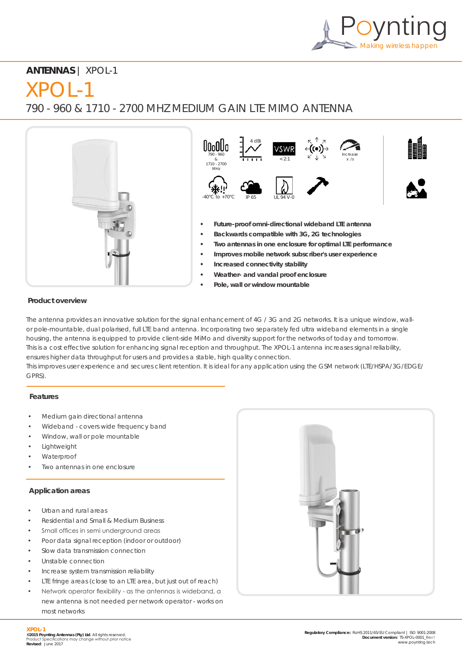

# **ANTENNAS** | XPOL-1

# $XPOL-1$

790 - 960 & 1710 - 2700 MHZ MEDIUM GAIN LTE MIMO ANTENNA



## **Product overview**

The antenna provides an innovative solution for the signal enhancement of 4G / 3G and 2G networks. It is a unique window, wallor pole-mountable, dual polarised, full LTE band antenna. Incorporating two separately fed ultra wideband elements in a single housing, the antenna is equipped to provide client-side MiMo and diversity support for the networks of today and tomorrow. This is a cost effective solution for enhancing signal reception and throughput. The XPOL-1 antenna increases signal reliability, ensures higher data throughput for users and provides a stable, high quality connection. This improves user experience and secures client retention. It is ideal for any application using the GSM network (LTE/HSPA/3G/EDGE/ GPRS).

## **Features**

- Medium gain directional antenna
- Wideband covers wide frequency band
- Window, wall or pole mountable
- **Lightweight**
- Waterproof
- Two antennas in one enclosure

## **Application areas**

- Urban and rural areas
- Residential and Small & Medium Business
- Small offices in semi underground areas
- Poor data signal reception (indoor or outdoor)
- Slow data transmission connection
- Unstable connection
- Increase system transmission reliability
- LTE fringe areas (close to an LTE area, but just out of reach)
- Network operator flexibility as the antennas is wideband, a new antenna is not needed per network operator - works on most networks

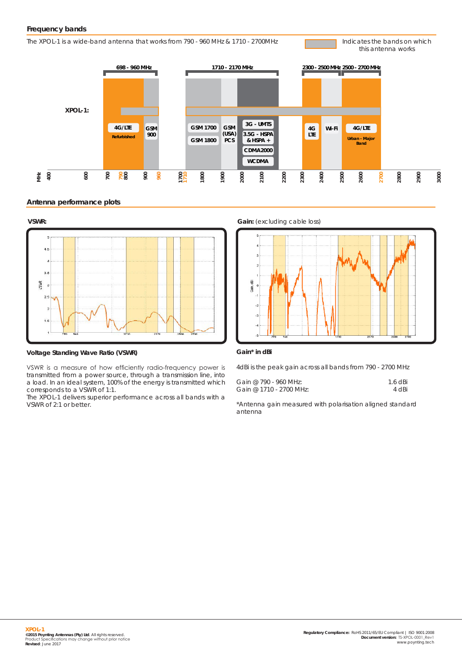The XPOL-1 is a wide-band antenna that works from 790 - 960 MHz & 1710 - 2700MHz

Indicates the bands on which this antenna works



#### **Antenna performance plots**



**Voltage Standing Wave Ratio (VSWR)**

VSWR is a measure of how efficiently radio-frequency power is transmitted from a power source, through a transmission line, into a load. In an ideal system, 100% of the energy is transmitted which corresponds to a VSWR of 1:1.

The XPOL-1 delivers superior performance across all bands with a VSWR of 2:1 or better.





#### **Gain\* in dBi**

4dBi is the peak gain across all bands from 790 - 2700 MHz

| Gain @ 790 - 960 MHz:   | $1.6$ dBi |
|-------------------------|-----------|
| Gain @ 1710 - 2700 MHz: | 4 dBi     |

\*Antenna gain measured with polarisation aligned standard antenna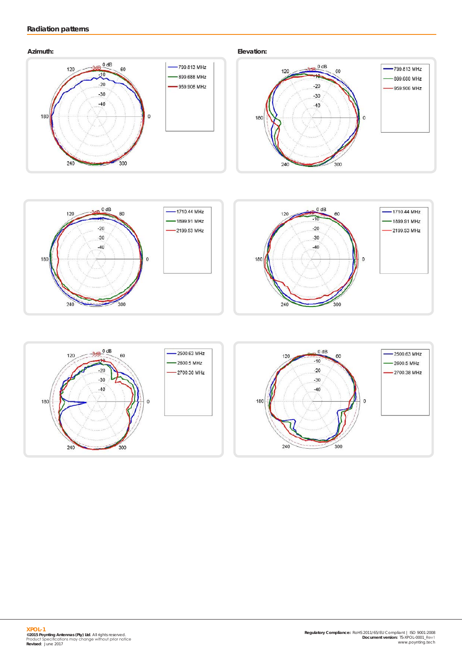# **Radiation patterns**